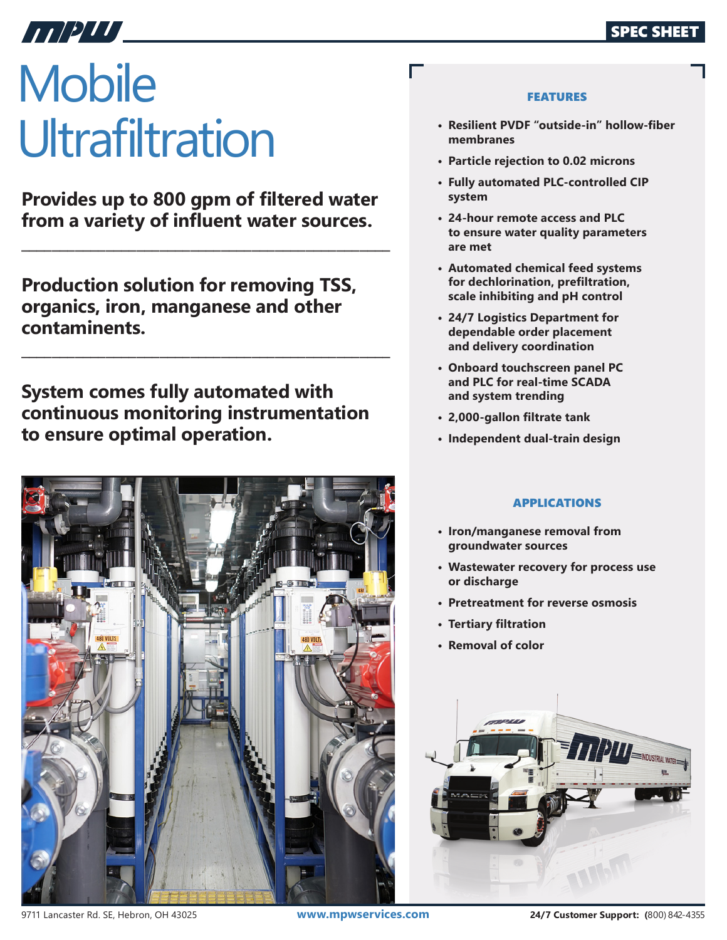# **Mobile Ultrafiltration**

ANDUL \_

**Provides up to 800 gpm of filtered water from a variety of influent water sources.**

**\_\_\_\_\_\_\_\_\_\_\_\_\_\_\_\_\_\_\_\_\_\_\_\_\_\_\_\_\_\_\_\_\_\_\_\_\_\_\_\_\_\_\_\_\_\_\_\_**

**\_\_\_\_\_\_\_\_\_\_\_\_\_\_\_\_\_\_\_\_\_\_\_\_\_\_\_\_\_\_\_\_\_\_\_\_\_\_\_\_\_\_\_\_\_\_\_\_**

**Production solution for removing TSS, organics, iron, manganese and other contaminents.**

**System comes fully automated with continuous monitoring instrumentation to ensure optimal operation.**



## FEATURES

- **• Resilient PVDF "outside-in" hollow-fiber membranes**
- **• Particle rejection to 0.02 microns**

Г

- **• Fully automated PLC-controlled CIP system**
- **• 24-hour remote access and PLC to ensure water quality parameters are met**
- **• Automated chemical feed systems for dechlorination, prefiltration, scale inhibiting and pH control**
- **• 24/7 Logistics Department for dependable order placement and delivery coordination**
- **• Onboard touchscreen panel PC and PLC for real-time SCADA and system trending**
- **• 2,000-gallon filtrate tank**
- **• Independent dual-train design**

# APPLICATIONS

- **• Iron/manganese removal from groundwater sources**
- **• Wastewater recovery for process use or discharge**
- **• Pretreatment for reverse osmosis**
- **• Tertiary filtration**
- **• Removal of color**



9711 Lancaster Rd. SE, Hebron, OH 43025 **www.mpwservices.com 24/7 Customer Support: (**800) 842-4355